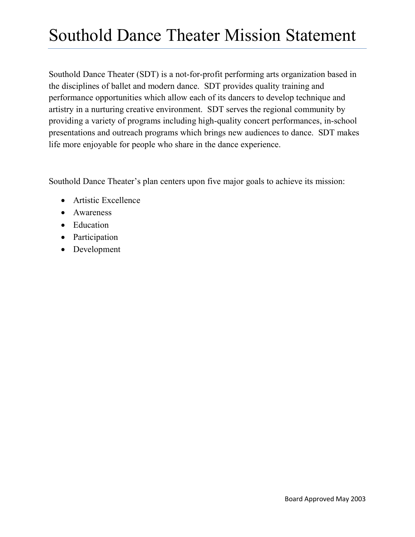# Southold Dance Theater Mission Statement

Southold Dance Theater (SDT) is a not-for-profit performing arts organization based in the disciplines of ballet and modern dance. SDT provides quality training and performance opportunities which allow each of its dancers to develop technique and artistry in a nurturing creative environment. SDT serves the regional community by providing a variety of programs including high-quality concert performances, in-school presentations and outreach programs which brings new audiences to dance. SDT makes life more enjoyable for people who share in the dance experience.

Southold Dance Theater's plan centers upon five major goals to achieve its mission:

- Artistic Excellence
- Awareness
- Education
- Participation
- Development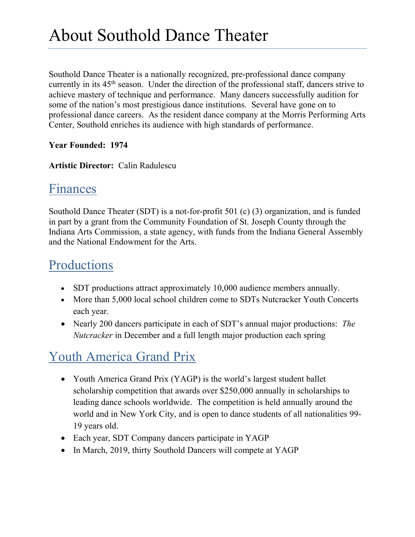# About Southold Dance Theater

Southold Dance Theater is a nationally recognized, pre-professional dance company currently in its 45th season. Under the direction of the professional staff, dancers strive to achieve mastery of technique and performance. Many dancers successfully audition for some of the nation's most prestigious dance institutions. Several have gone on to professional dance careers. As the resident dance company at the Morris Performing Arts Center, Southold enriches its audience with high standards of performance.

### **Year Founded: 1974**

### **Artistic Director:** Calin Radulescu

### Finances

Southold Dance Theater (SDT) is a not-for-profit 501 (c) (3) organization, and is funded in part by a grant from the Community Foundation of St. Joseph County through the Indiana Arts Commission, a state agency, with funds from the Indiana General Assembly and the National Endowment for the Arts.

## **Productions**

- SDT productions attract approximately 10,000 audience members annually.
- More than 5,000 local school children come to SDTs Nutcracker Youth Concerts each year.
- Nearly 200 dancers participate in each of SDT's annual major productions: *The Nutcracker* in December and a full length major production each spring

## Youth America Grand Prix

- Youth America Grand Prix (YAGP) is the world's largest student ballet scholarship competition that awards over \$250,000 annually in scholarships to leading dance schools worldwide. The competition is held annually around the world and in New York City, and is open to dance students of all nationalities 99- 19 years old.
- Each year, SDT Company dancers participate in YAGP
- In March, 2019, thirty Southold Dancers will compete at YAGP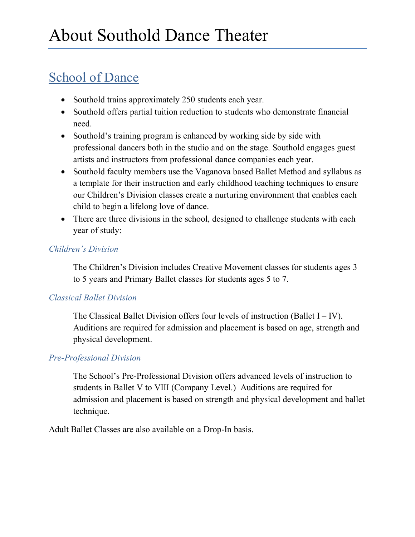## School of Dance

- Southold trains approximately 250 students each year.
- Southold offers partial tuition reduction to students who demonstrate financial need.
- Southold's training program is enhanced by working side by side with professional dancers both in the studio and on the stage. Southold engages guest artists and instructors from professional dance companies each year.
- Southold faculty members use the Vaganova based Ballet Method and syllabus as a template for their instruction and early childhood teaching techniques to ensure our Children's Division classes create a nurturing environment that enables each child to begin a lifelong love of dance.
- There are three divisions in the school, designed to challenge students with each year of study:

### *Children's Division*

The Children's Division includes Creative Movement classes for students ages 3 to 5 years and Primary Ballet classes for students ages 5 to 7.

### *Classical Ballet Division*

The Classical Ballet Division offers four levels of instruction (Ballet  $I - IV$ ). Auditions are required for admission and placement is based on age, strength and physical development.

### *Pre-Professional Division*

The School's Pre-Professional Division offers advanced levels of instruction to students in Ballet V to VIII (Company Level.) Auditions are required for admission and placement is based on strength and physical development and ballet technique.

Adult Ballet Classes are also available on a Drop-In basis.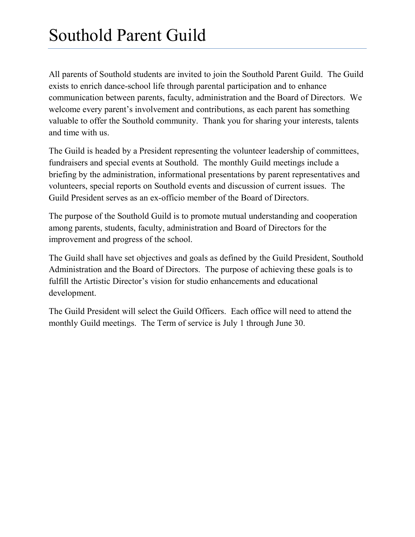All parents of Southold students are invited to join the Southold Parent Guild. The Guild exists to enrich dance-school life through parental participation and to enhance communication between parents, faculty, administration and the Board of Directors. We welcome every parent's involvement and contributions, as each parent has something valuable to offer the Southold community. Thank you for sharing your interests, talents and time with us.

The Guild is headed by a President representing the volunteer leadership of committees, fundraisers and special events at Southold. The monthly Guild meetings include a briefing by the administration, informational presentations by parent representatives and volunteers, special reports on Southold events and discussion of current issues. The Guild President serves as an ex-officio member of the Board of Directors.

The purpose of the Southold Guild is to promote mutual understanding and cooperation among parents, students, faculty, administration and Board of Directors for the improvement and progress of the school.

The Guild shall have set objectives and goals as defined by the Guild President, Southold Administration and the Board of Directors. The purpose of achieving these goals is to fulfill the Artistic Director's vision for studio enhancements and educational development.

The Guild President will select the Guild Officers. Each office will need to attend the monthly Guild meetings. The Term of service is July 1 through June 30.